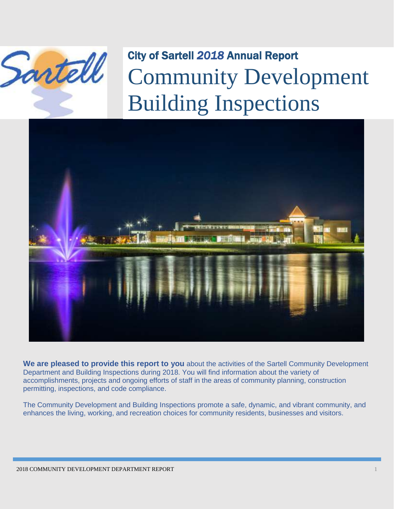

# City of Sartell *2018* Annual Report Community Development Building Inspections



**We are pleased to provide this report to you** about the activities of the Sartell Community Development Department and Building Inspections during 2018. You will find information about the variety of accomplishments, projects and ongoing efforts of staff in the areas of community planning, construction permitting, inspections, and code compliance.

The Community Development and Building Inspections promote a safe, dynamic, and vibrant community, and enhances the living, working, and recreation choices for community residents, businesses and visitors.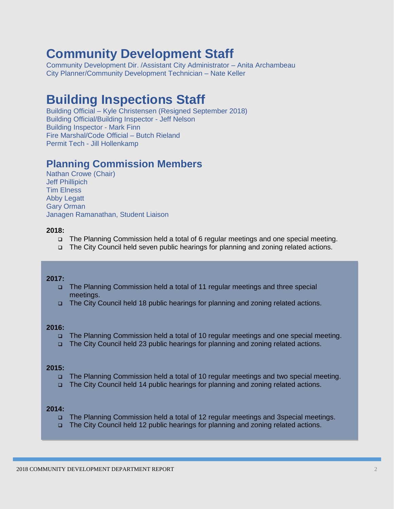# **Community Development Staff**

Community Development Dir. /Assistant City Administrator – Anita Archambeau City Planner/Community Development Technician – Nate Keller

## **Building Inspections Staff**

Building Official – Kyle Christensen (Resigned September 2018) Building Official/Building Inspector - Jeff Nelson Building Inspector - Mark Finn Fire Marshal/Code Official – Butch Rieland Permit Tech - Jill Hollenkamp

### **Planning Commission Members**

Nathan Crowe (Chair) Jeff Phillipich Tim Elness Abby Legatt Gary Orman Janagen Ramanathan, Student Liaison

#### **2018:**

- The Planning Commission held a total of 6 regular meetings and one special meeting.
- The City Council held seven public hearings for planning and zoning related actions.

#### **2017:**

- The Planning Commission held a total of 11 regular meetings and three special meetings.
- The City Council held 18 public hearings for planning and zoning related actions.

#### **2016:**

- The Planning Commission held a total of 10 regular meetings and one special meeting.
- The City Council held 23 public hearings for planning and zoning related actions.

#### **2015:**

- The Planning Commission held a total of 10 regular meetings and two special meeting.
- □ The City Council held 14 public hearings for planning and zoning related actions.

#### **2014:**

- The Planning Commission held a total of 12 regular meetings and 3special meetings.
- The City Council held 12 public hearings for planning and zoning related actions.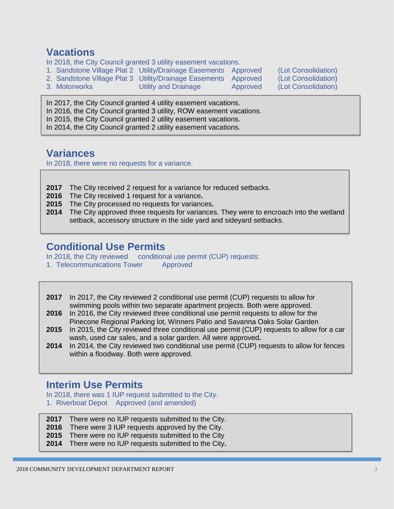### **Vacations**

In 2018, the City Council granted 3 utility easement vacations.

- 1. Sandstone Village Plat 2 Utility/Drainage Easements Approved (Lot Consolidation)
- 2. Sandstone Village Plat 3 Utility/Drainage Easements Approved (Lot Consolidation)
- 3. Motorworks Utility and Drainage Approved (Lot Consolidation)

In 2017, the City Council granted 4 utility easement vacations. In 2016, the City Council granted 3 utility, ROW easement vacations. In 2015, the City Council granted 2 utility easement vacations. In 2014, the City Council granted 2 utility easement vacations.

### **Variances**

In 2018, there were no requests for a variance.

- **2017** The City received 2 request for a variance for reduced setbacks.
- **2016** The City received 1 request for a variance**.**
- **2015** The City processed no requests for variances**.**
- **2014** The City approved three requests for variances. They were to encroach into the wetland setback, accessory structure in the side yard and sideyard setbacks.

### **Conditional Use Permits**

In 2018, the City reviewed conditional use permit (CUP) requests:

1. Telecommunications Tower Approved

**2017** In 2017, the City reviewed 2 conditional use permit (CUP) requests to allow for swimming pools within two separate apartment projects. Both were approved.

- **2016** In 2016, the City reviewed three conditional use permit requests to allow for the Pinecone Regional Parking lot, Winners Patio and Savanna Oaks Solar Garden
- **2015** In 2015, the City reviewed three conditional use permit (CUP) requests to allow for a car wash, used car sales, and a solar garden. All were approved**.**
- **2014** In 2014, the City reviewed two conditional use permit (CUP) requests to allow for fences within a floodway. Both were approved.

### **Interim Use Permits**

In 2018, there was 1 IUP request submitted to the City. 1. Riverboat Depot Approved (and amended)

- **2017** There were no IUP requests submitted to the City.
- **2016** There were 3 IUP requests approved by the City.
- **2015** There were no IUP requests submitted to the City
- **2014** There were no IUP requests submitted to the City**.**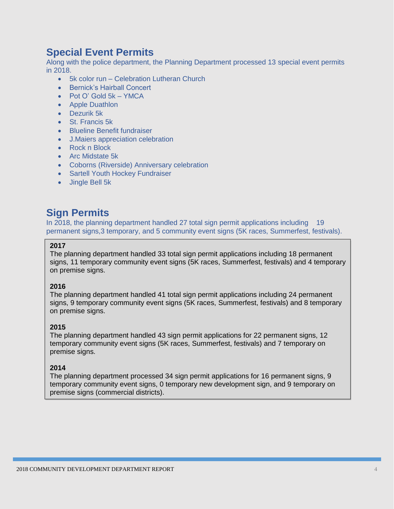### **Special Event Permits**

Along with the police department, the Planning Department processed 13 special event permits in 2018.

- 5k color run Celebration Lutheran Church
- Bernick's Hairball Concert
- Pot O' Gold 5k YMCA
- Apple Duathlon
- Dezurik 5k
- St. Francis 5k
- Blueline Benefit fundraiser
- J.Maiers appreciation celebration
- Rock n Block
- Arc Midstate 5k
- Coborns (Riverside) Anniversary celebration
- Sartell Youth Hockey Fundraiser
- Jingle Bell 5k

### **Sign Permits**

In 2018, the planning department handled 27 total sign permit applications including 19 permanent signs,3 temporary, and 5 community event signs (5K races, Summerfest, festivals).

#### **2017**

The planning department handled 33 total sign permit applications including 18 permanent signs, 11 temporary community event signs (5K races, Summerfest, festivals) and 4 temporary on premise signs.

#### **2016**

The planning department handled 41 total sign permit applications including 24 permanent signs, 9 temporary community event signs (5K races, Summerfest, festivals) and 8 temporary on premise signs.

#### **2015**

The planning department handled 43 sign permit applications for 22 permanent signs, 12 temporary community event signs (5K races, Summerfest, festivals) and 7 temporary on premise signs.

#### **2014**

The planning department processed 34 sign permit applications for 16 permanent signs, 9 temporary community event signs, 0 temporary new development sign, and 9 temporary on premise signs (commercial districts).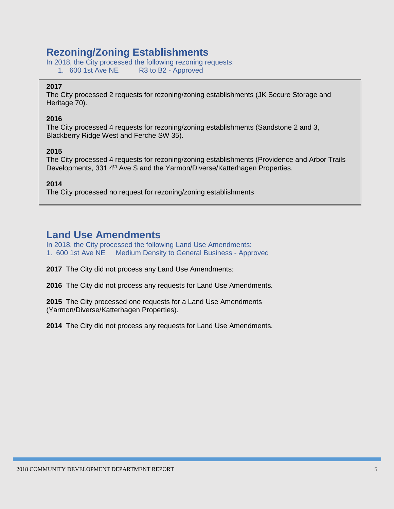### **Rezoning/Zoning Establishments**

In 2018, the City processed the following rezoning requests: 1. 600 1st Ave NE R3 to B2 - Approved

#### **2017**

The City processed 2 requests for rezoning/zoning establishments (JK Secure Storage and Heritage 70).

#### **2016**

The City processed 4 requests for rezoning/zoning establishments (Sandstone 2 and 3, Blackberry Ridge West and Ferche SW 35).

#### **2015**

The City processed 4 requests for rezoning/zoning establishments (Providence and Arbor Trails Developments, 331 4<sup>th</sup> Ave S and the Yarmon/Diverse/Katterhagen Properties.

**2014**

The City processed no request for rezoning/zoning establishments

### **Land Use Amendments**

In 2018, the City processed the following Land Use Amendments: 1. 600 1st Ave NE Medium Density to General Business - Approved

**2017** The City did not process any Land Use Amendments:

**2016** The City did not process any requests for Land Use Amendments.

**2015** The City processed one requests for a Land Use Amendments (Yarmon/Diverse/Katterhagen Properties).

**2014** The City did not process any requests for Land Use Amendments.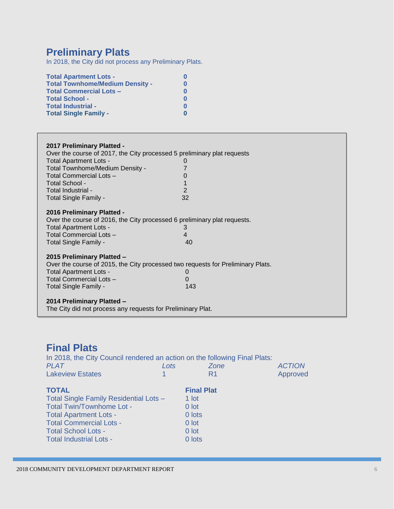### **Preliminary Plats**

In 2018, the City did not process any Preliminary Plats.

| <b>Total Apartment Lots -</b>          | O        |
|----------------------------------------|----------|
| <b>Total Townhome/Medium Density -</b> | 0        |
| <b>Total Commercial Lots -</b>         | $\bf{0}$ |
| <b>Total School -</b>                  | $\bf{0}$ |
| Total Industrial -                     | $\bf{0}$ |
| <b>Total Single Family -</b>           | O        |

| 2017 Preliminary Platted -<br>Over the course of 2017, the City processed 5 preliminary plat requests<br><b>Total Apartment Lots -</b><br>Total Townhome/Medium Density -<br><b>Total Commercial Lots -</b><br>Total School -<br>Total Industrial -<br>Total Single Family -                    | O<br>$\overline{2}$<br>32 |
|-------------------------------------------------------------------------------------------------------------------------------------------------------------------------------------------------------------------------------------------------------------------------------------------------|---------------------------|
| 2016 Preliminary Platted -<br>Over the course of 2016, the City processed 6 preliminary plat requests.<br><b>Total Apartment Lots -</b><br>Total Commercial Lots -<br>Total Single Family -                                                                                                     | 3<br>4<br>40              |
| 2015 Preliminary Platted -<br>Over the course of 2015, the City processed two requests for Preliminary Plats.<br><b>Total Apartment Lots -</b><br>Total Commercial Lots -<br>Total Single Family -<br>2014 Preliminary Platted -<br>The City did not process any requests for Preliminary Plat. | $\mathbf{O}$<br>0<br>143  |

### **Final Plats**

In 2018, the City Council rendered an action on the following Final Plats:<br> *PLAT Lots Zone PLAT Lots Zone ACTION* Lakeview Estates **1 R1** Approved **TOTAL Final Plat** Total Single Family Residential Lots - 1 lot Total Twin/Townhome Lot - 0 lot Total Apartment Lots - 0 lots Total Commercial Lots - 0 lot Total School Lots - 0 lot<br>
Total Industrial Lots - 0 lots<br>
0 lots Total Industrial Lots -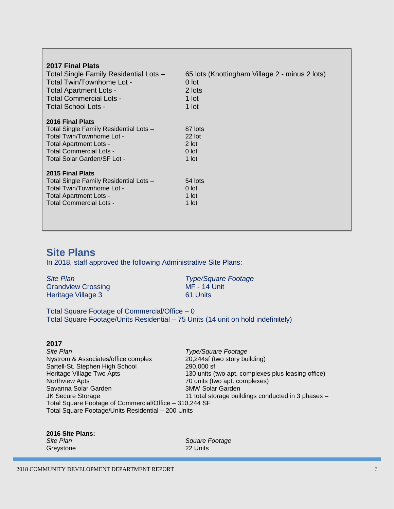| 2017 Final Plats<br>Total Single Family Residential Lots -<br>Total Twin/Townhome Lot -<br><b>Total Apartment Lots -</b><br><b>Total Commercial Lots -</b><br>Total School Lots -  | 65 lots (Knottingham Village 2 - minus 2 lots)<br>0 lot<br>2 lots<br>1 lot<br>1 lot |
|------------------------------------------------------------------------------------------------------------------------------------------------------------------------------------|-------------------------------------------------------------------------------------|
| 2016 Final Plats<br>Total Single Family Residential Lots -<br>Total Twin/Townhome Lot -<br>Total Apartment Lots -<br><b>Total Commercial Lots -</b><br>Total Solar Garden/SF Lot - | 87 lots<br>$22$ lot<br>2 lot<br>$0$ lot<br>1 lot                                    |
| 2015 Final Plats<br>Total Single Family Residential Lots -<br>Total Twin/Townhome Lot -<br><b>Total Apartment Lots -</b><br>Total Commercial Lots -                                | 54 lots<br>$0$ lot<br>1 lot<br>1 lot                                                |

### **Site Plans**

In 2018, staff approved the following Administrative Site Plans:

| <b>Site Plan</b>          | <b>Type/Square Footage</b> |
|---------------------------|----------------------------|
| <b>Grandview Crossing</b> | MF - 14 Unit               |
| Heritage Village 3        | 61 Units                   |

Total Square Footage of Commercial/Office – 0 Total Square Footage/Units Residential – 75 Units (14 unit on hold indefinitely)

#### **2017**

*Site Plan Type/Square Footage*  Nystrom & Associates/office complex Sartell-St. Stephen High School 290,000 sf Heritage Village Two Apts 130 units (two apt. complexes plus leasing office)<br>Northview Apts 130 units (two apt. complexes) 70 units (two apt. complexes) Savanna Solar Garden 3MW Solar Garden 3MW Solar Garden<br>
3MW Solar Garden 3MW Solar Garden<br>
3MW Solar Garden 3MW Solar Garden 11 total storage buildings conducted in 3 phases  $-$ Total Square Footage of Commercial/Office – 310,244 SF Total Square Footage/Units Residential – 200 Units

| 2016 Site Plans: |
|------------------|
| <b>Site Plan</b> |
| Grevstone        |

**Square Footage** 22 Units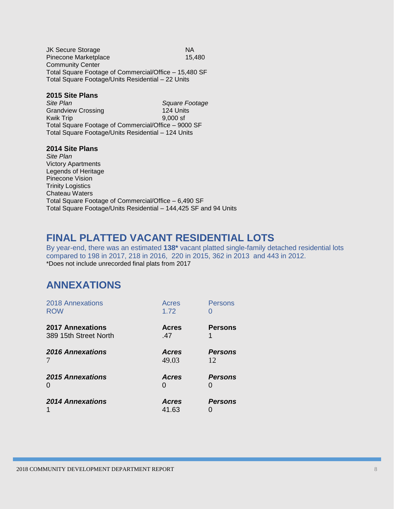JK Secure Storage NA Pinecone Marketplace 15,480 Community Center Total Square Footage of Commercial/Office – 15,480 SF Total Square Footage/Units Residential – 22 Units

#### **2015 Site Plans**

*Site Plan Square Footage*  Grandview Crossing 124 Units Kwik Trip 9,000 sf Total Square Footage of Commercial/Office – 9000 SF Total Square Footage/Units Residential – 124 Units

#### **2014 Site Plans**

*Site Plan*  Victory Apartments Legends of Heritage Pinecone Vision Trinity Logistics Chateau Waters Total Square Footage of Commercial/Office – 6,490 SF Total Square Footage/Units Residential – 144,425 SF and 94 Units

### **FINAL PLATTED VACANT RESIDENTIAL LOTS**

By year-end, there was an estimated **138\*** vacant platted single-family detached residential lots compared to 198 in 2017, 218 in 2016, 220 in 2015, 362 in 2013 and 443 in 2012. \*Does not include unrecorded final plats from 2017

### **ANNEXATIONS**

| <b>2018 Annexations</b><br><b>ROW</b>            | Acres<br>1.72         | Persons              |
|--------------------------------------------------|-----------------------|----------------------|
| <b>2017 Annexations</b><br>389 15th Street North | <b>Acres</b><br>.47   | <b>Persons</b>       |
| <b>2016 Annexations</b><br>$\frac{1}{\sqrt{2}}$  | <b>Acres</b><br>49.03 | <b>Persons</b><br>12 |
| <b>2015 Annexations</b><br>O                     | <b>Acres</b>          | <b>Persons</b>       |
| <b>2014 Annexations</b>                          | <b>Acres</b><br>41.63 | <b>Persons</b>       |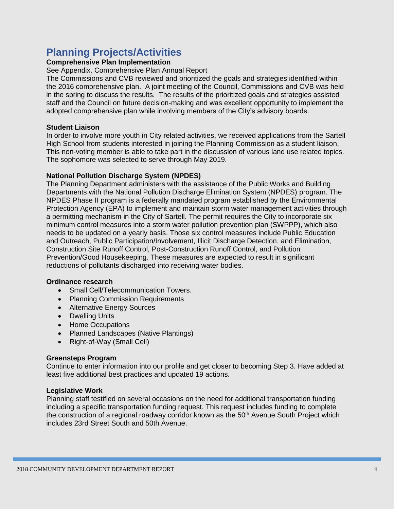### **Planning Projects/Activities**

#### **Comprehensive Plan Implementation**

#### See Appendix, Comprehensive Plan Annual Report

The Commissions and CVB reviewed and prioritized the goals and strategies identified within the 2016 comprehensive plan. A joint meeting of the Council, Commissions and CVB was held in the spring to discuss the results. The results of the prioritized goals and strategies assisted staff and the Council on future decision-making and was excellent opportunity to implement the adopted comprehensive plan while involving members of the City's advisory boards.

#### **Student Liaison**

In order to involve more youth in City related activities, we received applications from the Sartell High School from students interested in joining the Planning Commission as a student liaison. This non-voting member is able to take part in the discussion of various land use related topics. The sophomore was selected to serve through May 2019.

#### **National Pollution Discharge System (NPDES)**

The Planning Department administers with the assistance of the Public Works and Building Departments with the National Pollution Discharge Elimination System (NPDES) program. The NPDES Phase II program is a federally mandated program established by the Environmental Protection Agency (EPA) to implement and maintain storm water management activities through a permitting mechanism in the City of Sartell. The permit requires the City to incorporate six minimum control measures into a storm water pollution prevention plan (SWPPP), which also needs to be updated on a yearly basis. Those six control measures include Public Education and Outreach, Public Participation/Involvement, Illicit Discharge Detection, and Elimination, Construction Site Runoff Control, Post-Construction Runoff Control, and Pollution Prevention/Good Housekeeping. These measures are expected to result in significant reductions of pollutants discharged into receiving water bodies.

#### **Ordinance research**

- Small Cell/Telecommunication Towers.
- Planning Commission Requirements
- Alternative Energy Sources
- Dwelling Units
- Home Occupations
- Planned Landscapes (Native Plantings)
- Right-of-Way (Small Cell)

#### **Greensteps Program**

Continue to enter information into our profile and get closer to becoming Step 3. Have added at least five additional best practices and updated 19 actions.

#### **Legislative Work**

Planning staff testified on several occasions on the need for additional transportation funding including a specific transportation funding request. This request includes funding to complete the construction of a regional roadway corridor known as the 50<sup>th</sup> Avenue South Project which includes 23rd Street South and 50th Avenue.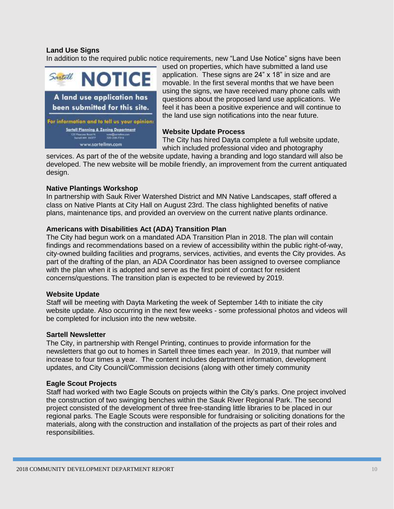#### **Land Use Signs**

In addition to the required public notice requirements, new "Land Use Notice" signs have been



used on properties, which have submitted a land use application. These signs are 24" x 18" in size and are movable. In the first several months that we have been using the signs, we have received many phone calls with questions about the proposed land use applications. We feel it has been a positive experience and will continue to the land use sign notifications into the near future.

#### **Website Update Process**

The City has hired Dayta complete a full website update, which included professional video and photography

services. As part of the of the website update, having a branding and logo standard will also be developed. The new website will be mobile friendly, an improvement from the current antiquated design.

#### **Native Plantings Workshop**

In partnership with Sauk River Watershed District and MN Native Landscapes, staff offered a class on Native Plants at City Hall on August 23rd. The class highlighted benefits of native plans, maintenance tips, and provided an overview on the current native plants ordinance.

#### **Americans with Disabilities Act (ADA) Transition Plan**

The City had begun work on a mandated ADA Transition Plan in 2018. The plan will contain findings and recommendations based on a review of accessibility within the public right-of-way, city-owned building facilities and programs, services, activities, and events the City provides. As part of the drafting of the plan, an ADA Coordinator has been assigned to oversee compliance with the plan when it is adopted and serve as the first point of contact for resident concerns/questions. The transition plan is expected to be reviewed by 2019.

#### **Website Update**

Staff will be meeting with Dayta Marketing the week of September 14th to initiate the city website update. Also occurring in the next few weeks - some professional photos and videos will be completed for inclusion into the new website.

#### **Sartell Newsletter**

The City, in partnership with Rengel Printing, continues to provide information for the newsletters that go out to homes in Sartell three times each year. In 2019, that number will increase to four times a year. The content includes department information, development updates, and City Council/Commission decisions (along with other timely community

#### **Eagle Scout Projects**

Staff had worked with two Eagle Scouts on projects within the City's parks. One project involved the construction of two swinging benches within the Sauk River Regional Park. The second project consisted of the development of three free-standing little libraries to be placed in our regional parks. The Eagle Scouts were responsible for fundraising or soliciting donations for the materials, along with the construction and installation of the projects as part of their roles and responsibilities.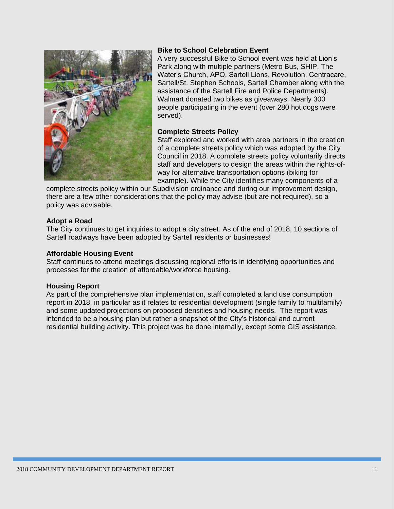

#### **Bike to School Celebration Event**

A very successful Bike to School event was held at Lion's Park along with multiple partners (Metro Bus, SHIP, The Water's Church, APO, Sartell Lions, Revolution, Centracare, Sartell/St. Stephen Schools, Sartell Chamber along with the assistance of the Sartell Fire and Police Departments). Walmart donated two bikes as giveaways. Nearly 300 people participating in the event (over 280 hot dogs were served).

#### **Complete Streets Policy**

Staff explored and worked with area partners in the creation of a complete streets policy which was adopted by the City Council in 2018. A complete streets policy voluntarily directs staff and developers to design the areas within the rights-ofway for alternative transportation options (biking for example). While the City identifies many components of a

complete streets policy within our Subdivision ordinance and during our improvement design, there are a few other considerations that the policy may advise (but are not required), so a policy was advisable.

#### **Adopt a Road**

The City continues to get inquiries to adopt a city street. As of the end of 2018, 10 sections of Sartell roadways have been adopted by Sartell residents or businesses!

#### **Affordable Housing Event**

Staff continues to attend meetings discussing regional efforts in identifying opportunities and processes for the creation of affordable/workforce housing.

#### **Housing Report**

As part of the comprehensive plan implementation, staff completed a land use consumption report in 2018, in particular as it relates to residential development (single family to multifamily) and some updated projections on proposed densities and housing needs. The report was intended to be a housing plan but rather a snapshot of the City's historical and current residential building activity. This project was be done internally, except some GIS assistance.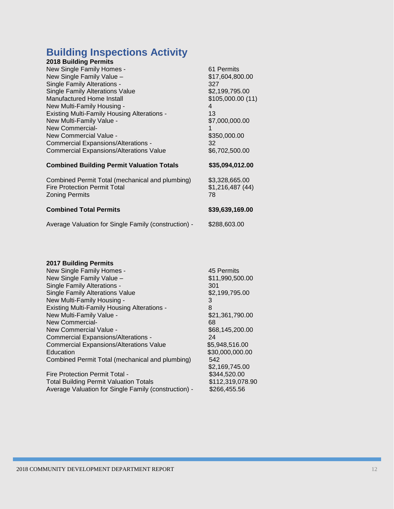### **Building Inspections Activity**

| <b>2018 Building Permits</b>                                                                                    |                                         |
|-----------------------------------------------------------------------------------------------------------------|-----------------------------------------|
| New Single Family Homes -                                                                                       | 61 Permits                              |
| New Single Family Value -                                                                                       | \$17,604,800.00                         |
| <b>Single Family Alterations -</b>                                                                              | 327                                     |
| <b>Single Family Alterations Value</b>                                                                          | \$2,199,795.00                          |
| Manufactured Home Install                                                                                       | \$105,000.00 (11)                       |
| New Multi-Family Housing -                                                                                      | 4                                       |
| <b>Existing Multi-Family Housing Alterations -</b>                                                              | 13                                      |
| New Multi-Family Value -                                                                                        | \$7,000,000.00                          |
| New Commercial-                                                                                                 |                                         |
| New Commercial Value -                                                                                          | \$350,000.00                            |
| <b>Commercial Expansions/Alterations -</b>                                                                      | 32                                      |
| <b>Commercial Expansions/Alterations Value</b>                                                                  | \$6,702,500.00                          |
| <b>Combined Building Permit Valuation Totals</b>                                                                | \$35,094,012.00                         |
| Combined Permit Total (mechanical and plumbing)<br><b>Fire Protection Permit Total</b><br><b>Zoning Permits</b> | \$3,328,665.00<br>\$1,216,487(44)<br>78 |
| <b>Combined Total Permits</b>                                                                                   | \$39,639,169.00                         |
| Average Valuation for Single Family (construction) -                                                            | \$288,603.00                            |

#### **2017 Building Permits**

| New Single Family Homes -                          | 45 Permits       |
|----------------------------------------------------|------------------|
| New Single Family Value -                          | \$11,990,500.00  |
| Single Family Alterations -                        | 301              |
| <b>Single Family Alterations Value</b>             | \$2,199,795.00   |
| New Multi-Family Housing -                         | 3                |
| <b>Existing Multi-Family Housing Alterations -</b> | 8                |
| New Multi-Family Value -                           | \$21,361,790.00  |
| New Commercial-                                    | 68               |
| New Commercial Value -                             | \$68,145,200.00  |
| Commercial Expansions/Alterations -                | 24               |
| <b>Commercial Expansions/Alterations Value</b>     | \$5,948,516.00   |
| Education                                          | \$30,000,000.00  |
| Combined Permit Total (mechanical and plumbing)    | 542              |
|                                                    | \$2,169,745.00   |
| Fire Protection Permit Total -                     | \$344,520.00     |
| <b>Total Building Permit Valuation Totals</b>      | \$112,319,078.90 |

Average Valuation for Single Family (construction) - \$266,455.56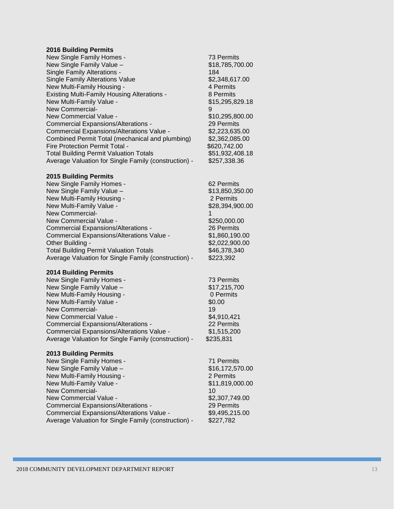#### **2016 Building Permits**

| New Single Family Homes -                            | 73 Permits      |
|------------------------------------------------------|-----------------|
| New Single Family Value -                            | \$18,785,700.00 |
| Single Family Alterations -                          | 184             |
| <b>Single Family Alterations Value</b>               | \$2,348,617.00  |
| New Multi-Family Housing -                           | 4 Permits       |
| <b>Existing Multi-Family Housing Alterations -</b>   | 8 Permits       |
| New Multi-Family Value -                             | \$15,295,829.18 |
| New Commercial-                                      | 9               |
| New Commercial Value -                               | \$10,295,800.00 |
| <b>Commercial Expansions/Alterations -</b>           | 29 Permits      |
| Commercial Expansions/Alterations Value -            | \$2,223,635,00  |
| Combined Permit Total (mechanical and plumbing)      | \$2,362,085.00  |
| Fire Protection Permit Total -                       | \$620,742.00    |
| <b>Total Building Permit Valuation Totals</b>        | \$51,932,408.18 |
| Average Valuation for Single Family (construction) - | \$257,338.36    |

#### **2015 Building Permits**

| New Single Family Homes -                            | 62 Permits      |
|------------------------------------------------------|-----------------|
| New Single Family Value -                            | \$13,850,350.00 |
| New Multi-Family Housing -                           | 2 Permits       |
| New Multi-Family Value -                             | \$28,394,900.00 |
| New Commercial-                                      |                 |
| New Commercial Value -                               | \$250,000.00    |
| Commercial Expansions/Alterations -                  | 26 Permits      |
| Commercial Expansions/Alterations Value -            | \$1,860,190.00  |
| Other Building -                                     | \$2,022,900.00  |
| <b>Total Building Permit Valuation Totals</b>        | \$46,378,340    |
| Average Valuation for Single Family (construction) - | \$223,392       |

#### **2014 Building Permits**

| New Single Family Homes -                            | 73 Permits   |
|------------------------------------------------------|--------------|
| New Single Family Value -                            | \$17,215,700 |
| New Multi-Family Housing -                           | 0 Permits    |
| New Multi-Family Value -                             | \$0.00       |
| New Commercial-                                      | 19           |
| New Commercial Value -                               | \$4,910,421  |
| <b>Commercial Expansions/Alterations -</b>           | 22 Permits   |
| Commercial Expansions/Alterations Value -            | \$1,515,200  |
| Average Valuation for Single Family (construction) - | \$235,831    |

#### **2013 Building Permits**

| New Single Family Homes -                            | 71 Permits      |
|------------------------------------------------------|-----------------|
| New Single Family Value -                            | \$16,172,570.00 |
| New Multi-Family Housing -                           | 2 Permits       |
| New Multi-Family Value -                             | \$11,819,000.00 |
| <b>New Commercial-</b>                               | 10              |
| New Commercial Value -                               | \$2,307,749.00  |
| <b>Commercial Expansions/Alterations -</b>           | 29 Permits      |
| Commercial Expansions/Alterations Value -            | \$9,495,215.00  |
| Average Valuation for Single Family (construction) - | \$227,782       |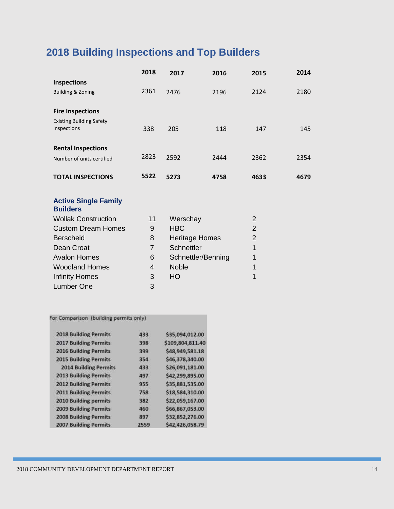# **2018 Building Inspections and Top Builders**

|                                 | 2018           | 2017              | 2016                  | 2015           | 2014 |
|---------------------------------|----------------|-------------------|-----------------------|----------------|------|
| <b>Inspections</b>              |                |                   |                       |                |      |
| <b>Building &amp; Zoning</b>    | 2361           | 2476              | 2196                  | 2124           | 2180 |
|                                 |                |                   |                       |                |      |
| <b>Fire Inspections</b>         |                |                   |                       |                |      |
| <b>Existing Building Safety</b> |                |                   |                       |                |      |
| Inspections                     | 338            | 205               | 118                   | 147            | 145  |
| <b>Rental Inspections</b>       |                |                   |                       |                |      |
|                                 | 2823           |                   |                       |                |      |
| Number of units certified       |                | 2592              | 2444                  | 2362           | 2354 |
| <b>TOTAL INSPECTIONS</b>        | 5522           | 5273              | 4758                  | 4633           | 4679 |
|                                 |                |                   |                       |                |      |
| <b>Active Single Family</b>     |                |                   |                       |                |      |
| <b>Builders</b>                 |                |                   |                       |                |      |
| <b>Wollak Construction</b>      | 11             | Werschay          |                       | 2              |      |
| <b>Custom Dream Homes</b>       | 9              | <b>HBC</b>        |                       | $\overline{2}$ |      |
| <b>Berscheid</b>                | 8              |                   | <b>Heritage Homes</b> | $\overline{2}$ |      |
| Dean Croat                      | $\overline{7}$ | <b>Schnettler</b> |                       | 1              |      |
| <b>Avalon Homes</b>             | 6              |                   | Schnettler/Benning    | 1              |      |
| <b>Woodland Homes</b>           | 4              | <b>Noble</b>      |                       | 1              |      |
| <b>Infinity Homes</b>           | 3              | HO                |                       | 1              |      |
| <b>Lumber One</b>               | 3              |                   |                       |                |      |
|                                 |                |                   |                       |                |      |

#### For Comparison (building permits only)

| <b>2018 Building Permits</b> | 433  | \$35,094,012.00  |
|------------------------------|------|------------------|
| <b>2017 Building Permits</b> | 398  | \$109,804,811.40 |
| <b>2016 Building Permits</b> | 399  | \$48,949,581.18  |
| <b>2015 Building Permits</b> | 354  | \$46,378,340.00  |
| <b>2014 Building Permits</b> | 433  | \$26,091,181.00  |
| <b>2013 Building Permits</b> | 497  | \$42,299,895.00  |
| <b>2012 Building Permits</b> | 955  | \$35,881,535.00  |
| <b>2011 Building Permits</b> | 758  | \$18,584,310.00  |
| 2010 Building permits        | 382  | \$22,059,167.00  |
| <b>2009 Building Permits</b> | 460  | \$66,867,053.00  |
| <b>2008 Building Permits</b> | 897  | \$32,852,276.00  |
| <b>2007 Building Permits</b> | 2559 | \$42,426,058.79  |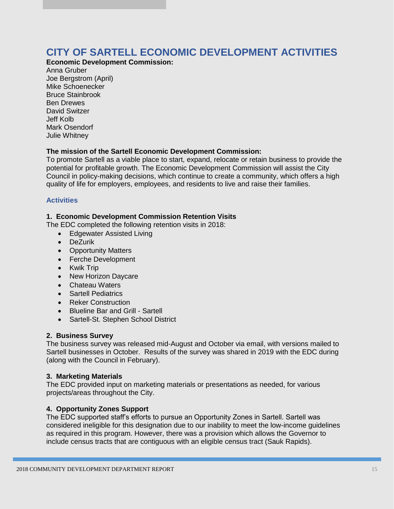### **CITY OF SARTELL ECONOMIC DEVELOPMENT ACTIVITIES**

**Economic Development Commission:**

Anna Gruber Joe Bergstrom (April) Mike Schoenecker Bruce Stainbrook Ben Drewes David Switzer Jeff Kolb Mark Osendorf Julie Whitney

#### **The mission of the Sartell Economic Development Commission:**

To promote Sartell as a viable place to start, expand, relocate or retain business to provide the potential for profitable growth. The Economic Development Commission will assist the City Council in policy-making decisions, which continue to create a community, which offers a high quality of life for employers, employees, and residents to live and raise their families.

#### **Activities**

#### **1. Economic Development Commission Retention Visits**

The EDC completed the following retention visits in 2018:

- Edgewater Assisted Living
- DeZurik
- Opportunity Matters
- Ferche Development
- Kwik Trip
- New Horizon Daycare
- Chateau Waters
- Sartell Pediatrics
- Reker Construction
- Blueline Bar and Grill Sartell
- Sartell-St. Stephen School District

#### **2. Business Survey**

The business survey was released mid-August and October via email, with versions mailed to Sartell businesses in October. Results of the survey was shared in 2019 with the EDC during (along with the Council in February).

#### **3. Marketing Materials**

The EDC provided input on marketing materials or presentations as needed, for various projects/areas throughout the City.

#### **4. Opportunity Zones Support**

The EDC supported staff's efforts to pursue an Opportunity Zones in Sartell. Sartell was considered ineligible for this designation due to our inability to meet the low-income guidelines as required in this program. However, there was a provision which allows the Governor to include census tracts that are contiguous with an eligible census tract (Sauk Rapids).